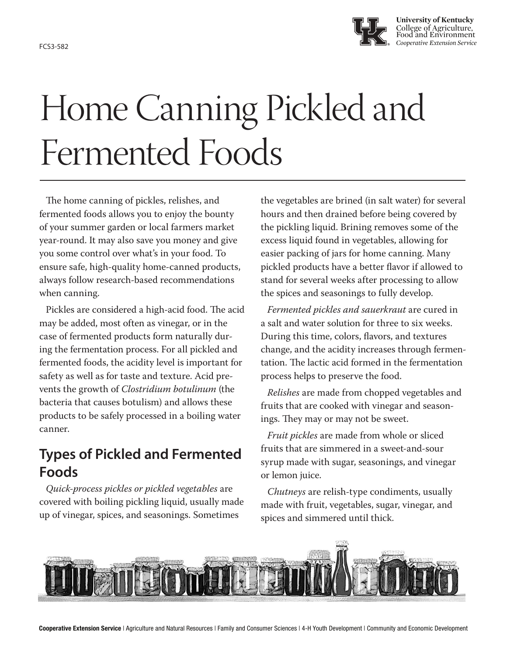

# Home Canning Pickled and Fermented Foods

The home canning of pickles, relishes, and fermented foods allows you to enjoy the bounty of your summer garden or local farmers market year-round. It may also save you money and give you some control over what's in your food. To ensure safe, high-quality home-canned products, always follow research-based recommendations when canning.

Pickles are considered a high-acid food. The acid may be added, most often as vinegar, or in the case of fermented products form naturally during the fermentation process. For all pickled and fermented foods, the acidity level is important for safety as well as for taste and texture. Acid prevents the growth of *Clostridium botulinum* (the bacteria that causes botulism) and allows these products to be safely processed in a boiling water canner.

### **Types of Pickled and Fermented Foods**

*Quick-process pickles or pickled vegetables* are covered with boiling pickling liquid, usually made up of vinegar, spices, and seasonings. Sometimes

the vegetables are brined (in salt water) for several hours and then drained before being covered by the pickling liquid. Brining removes some of the excess liquid found in vegetables, allowing for easier packing of jars for home canning. Many pickled products have a better flavor if allowed to stand for several weeks after processing to allow the spices and seasonings to fully develop.

*Fermented pickles and sauerkraut* are cured in a salt and water solution for three to six weeks. During this time, colors, flavors, and textures change, and the acidity increases through fermentation. The lactic acid formed in the fermentation process helps to preserve the food.

*Relishes* are made from chopped vegetables and fruits that are cooked with vinegar and seasonings. They may or may not be sweet.

*Fruit pickles* are made from whole or sliced fruits that are simmered in a sweet-and-sour syrup made with sugar, seasonings, and vinegar or lemon juice.

*Chutneys* are relish-type condiments, usually made with fruit, vegetables, sugar, vinegar, and spices and simmered until thick.

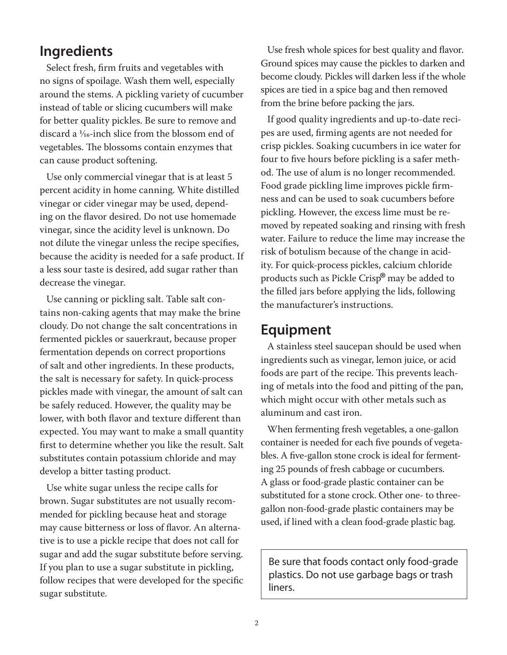#### **Ingredients**

Select fresh, firm fruits and vegetables with no signs of spoilage. Wash them well, especially around the stems. A pickling variety of cucumber instead of table or slicing cucumbers will make for better quality pickles. Be sure to remove and discard a 1⁄16-inch slice from the blossom end of vegetables. The blossoms contain enzymes that can cause product softening.

Use only commercial vinegar that is at least 5 percent acidity in home canning. White distilled vinegar or cider vinegar may be used, depending on the flavor desired. Do not use homemade vinegar, since the acidity level is unknown. Do not dilute the vinegar unless the recipe specifies, because the acidity is needed for a safe product. If a less sour taste is desired, add sugar rather than decrease the vinegar.

Use canning or pickling salt. Table salt contains non-caking agents that may make the brine cloudy. Do not change the salt concentrations in fermented pickles or sauerkraut, because proper fermentation depends on correct proportions of salt and other ingredients. In these products, the salt is necessary for safety. In quick-process pickles made with vinegar, the amount of salt can be safely reduced. However, the quality may be lower, with both flavor and texture different than expected. You may want to make a small quantity first to determine whether you like the result. Salt substitutes contain potassium chloride and may develop a bitter tasting product.

Use white sugar unless the recipe calls for brown. Sugar substitutes are not usually recommended for pickling because heat and storage may cause bitterness or loss of flavor. An alternative is to use a pickle recipe that does not call for sugar and add the sugar substitute before serving. If you plan to use a sugar substitute in pickling, follow recipes that were developed for the specific sugar substitute.

Use fresh whole spices for best quality and flavor. Ground spices may cause the pickles to darken and become cloudy. Pickles will darken less if the whole spices are tied in a spice bag and then removed from the brine before packing the jars.

If good quality ingredients and up-to-date recipes are used, firming agents are not needed for crisp pickles. Soaking cucumbers in ice water for four to five hours before pickling is a safer method. The use of alum is no longer recommended. Food grade pickling lime improves pickle firmness and can be used to soak cucumbers before pickling. However, the excess lime must be removed by repeated soaking and rinsing with fresh water. Failure to reduce the lime may increase the risk of botulism because of the change in acidity. For quick-process pickles, calcium chloride products such as Pickle Crisp® may be added to the filled jars before applying the lids, following the manufacturer's instructions.

#### **Equipment**

A stainless steel saucepan should be used when ingredients such as vinegar, lemon juice, or acid foods are part of the recipe. This prevents leaching of metals into the food and pitting of the pan, which might occur with other metals such as aluminum and cast iron.

When fermenting fresh vegetables, a one-gallon container is needed for each five pounds of vegetables. A five-gallon stone crock is ideal for fermenting 25 pounds of fresh cabbage or cucumbers. A glass or food-grade plastic container can be substituted for a stone crock. Other one- to threegallon non-food-grade plastic containers may be used, if lined with a clean food-grade plastic bag.

Be sure that foods contact only food-grade plastics. Do not use garbage bags or trash liners.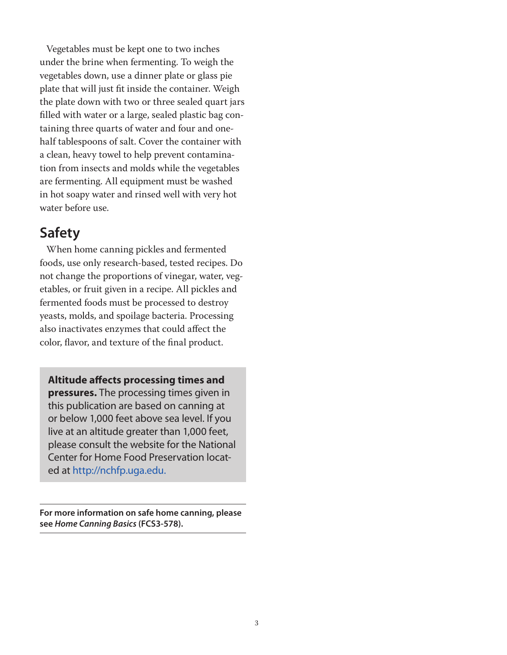Vegetables must be kept one to two inches under the brine when fermenting. To weigh the vegetables down, use a dinner plate or glass pie plate that will just fit inside the container. Weigh the plate down with two or three sealed quart jars filled with water or a large, sealed plastic bag containing three quarts of water and four and onehalf tablespoons of salt. Cover the container with a clean, heavy towel to help prevent contamination from insects and molds while the vegetables are fermenting. All equipment must be washed in hot soapy water and rinsed well with very hot water before use.

### **Safety**

When home canning pickles and fermented foods, use only research-based, tested recipes. Do not change the proportions of vinegar, water, vegetables, or fruit given in a recipe. All pickles and fermented foods must be processed to destroy yeasts, molds, and spoilage bacteria. Processing also inactivates enzymes that could affect the color, flavor, and texture of the final product.

**Altitude affects processing times and pressures.** The processing times given in this publication are based on canning at or below 1,000 feet above sea level. If you

live at an altitude greater than 1,000 feet, please consult the website for the National Center for Home Food Preservation located at http://nchfp.uga.edu.

**For more information on safe home canning, please see** *Home Canning Basics* **(FCS3-578).**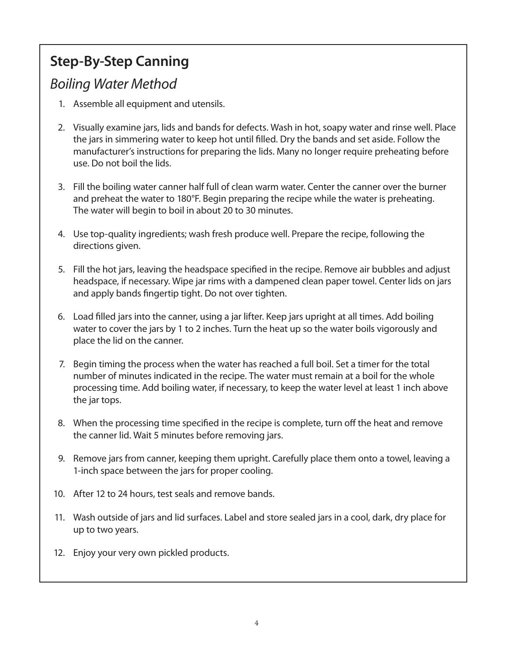### **Step-By-Step Canning**

### *Boiling Water Method*

- 1. Assemble all equipment and utensils.
- 2. Visually examine jars, lids and bands for defects. Wash in hot, soapy water and rinse well. Place the jars in simmering water to keep hot until filled. Dry the bands and set aside. Follow the manufacturer's instructions for preparing the lids. Many no longer require preheating before use. Do not boil the lids.
- 3. Fill the boiling water canner half full of clean warm water. Center the canner over the burner and preheat the water to 180°F. Begin preparing the recipe while the water is preheating. The water will begin to boil in about 20 to 30 minutes.
- 4. Use top-quality ingredients; wash fresh produce well. Prepare the recipe, following the directions given.
- 5. Fill the hot jars, leaving the headspace specified in the recipe. Remove air bubbles and adjust headspace, if necessary. Wipe jar rims with a dampened clean paper towel. Center lids on jars and apply bands fingertip tight. Do not over tighten.
- 6. Load filled jars into the canner, using a jar lifter. Keep jars upright at all times. Add boiling water to cover the jars by 1 to 2 inches. Turn the heat up so the water boils vigorously and place the lid on the canner.
- 7. Begin timing the process when the water has reached a full boil. Set a timer for the total number of minutes indicated in the recipe. The water must remain at a boil for the whole processing time. Add boiling water, if necessary, to keep the water level at least 1 inch above the jar tops.
- 8. When the processing time specified in the recipe is complete, turn off the heat and remove the canner lid. Wait 5 minutes before removing jars.
- 9. Remove jars from canner, keeping them upright. Carefully place them onto a towel, leaving a 1-inch space between the jars for proper cooling.
- 10. After 12 to 24 hours, test seals and remove bands.
- 11. Wash outside of jars and lid surfaces. Label and store sealed jars in a cool, dark, dry place for up to two years.
- 12. Enjoy your very own pickled products.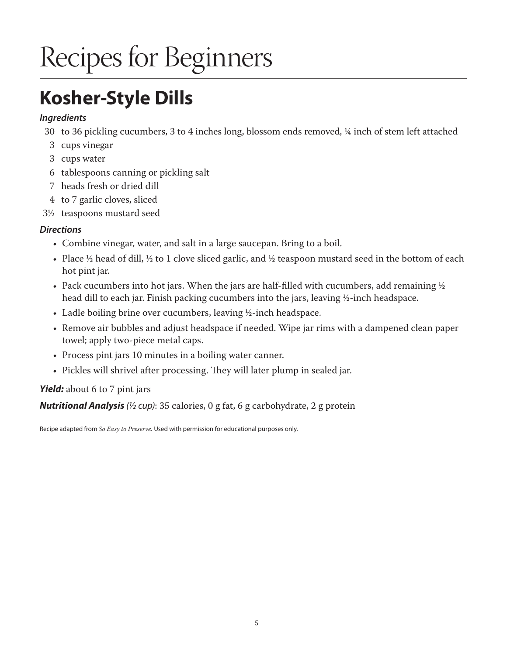# Recipes for Beginners

## **Kosher-Style Dills**

#### *Ingredients*

- 30 to 36 pickling cucumbers, 3 to 4 inches long, blossom ends removed, ¼ inch of stem left attached
- 3 cups vinegar
- 3 cups water
- 6 tablespoons canning or pickling salt
- 7 heads fresh or dried dill
- 4 to 7 garlic cloves, sliced
- 3½ teaspoons mustard seed

#### *Directions*

- Combine vinegar, water, and salt in a large saucepan. Bring to a boil.
- Place  $\frac{1}{2}$  head of dill,  $\frac{1}{2}$  to 1 clove sliced garlic, and  $\frac{1}{2}$  teaspoon mustard seed in the bottom of each hot pint jar.
- Pack cucumbers into hot jars. When the jars are half-filled with cucumbers, add remaining  $\frac{1}{2}$ head dill to each jar. Finish packing cucumbers into the jars, leaving ½-inch headspace.
- Ladle boiling brine over cucumbers, leaving ½-inch headspace.
- Remove air bubbles and adjust headspace if needed. Wipe jar rims with a dampened clean paper towel; apply two-piece metal caps.
- Process pint jars 10 minutes in a boiling water canner.
- Pickles will shrivel after processing. They will later plump in sealed jar.

#### *Yield:* about 6 to 7 pint jars

*Nutritional Analysis (½ cup)*: 35 calories, 0 g fat, 6 g carbohydrate, 2 g protein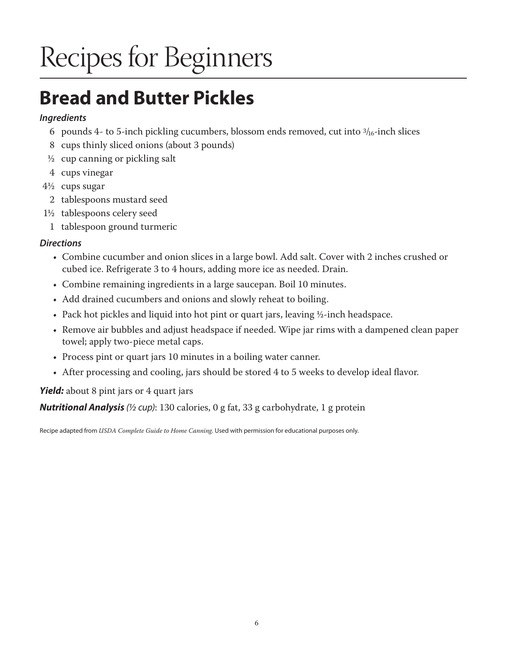# Recipes for Beginners

## **Bread and Butter Pickles**

#### *Ingredients*

- 6 pounds 4- to 5-inch pickling cucumbers, blossom ends removed, cut into  $\frac{3}{16}$ -inch slices
- 8 cups thinly sliced onions (about 3 pounds)
- $\frac{1}{2}$  cup canning or pickling salt
- 4 cups vinegar
- 4½ cups sugar
	- 2 tablespoons mustard seed
- 1½ tablespoons celery seed
	- 1 tablespoon ground turmeric

#### *Directions*

- Combine cucumber and onion slices in a large bowl. Add salt. Cover with 2 inches crushed or cubed ice. Refrigerate 3 to 4 hours, adding more ice as needed. Drain.
- Combine remaining ingredients in a large saucepan. Boil 10 minutes.
- Add drained cucumbers and onions and slowly reheat to boiling.
- Pack hot pickles and liquid into hot pint or quart jars, leaving ½-inch headspace.
- Remove air bubbles and adjust headspace if needed. Wipe jar rims with a dampened clean paper towel; apply two-piece metal caps.
- Process pint or quart jars 10 minutes in a boiling water canner.
- After processing and cooling, jars should be stored 4 to 5 weeks to develop ideal flavor.

*Yield:* about 8 pint jars or 4 quart jars

*Nutritional Analysis (½ cup)*: 130 calories, 0 g fat, 33 g carbohydrate, 1 g protein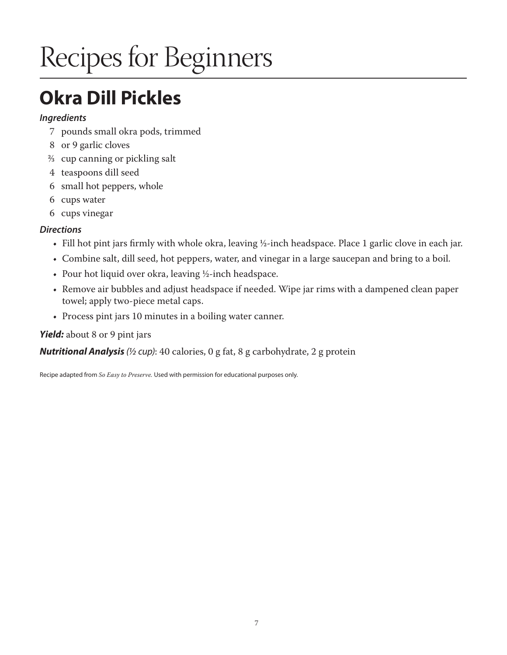# Recipes for Beginners

### **Okra Dill Pickles**

#### *Ingredients*

- 7 pounds small okra pods, trimmed
- 8 or 9 garlic cloves
- 2/3 cup canning or pickling salt
- 4 teaspoons dill seed
- 6 small hot peppers, whole
- 6 cups water
- 6 cups vinegar

#### *Directions*

- Fill hot pint jars firmly with whole okra, leaving ½-inch headspace. Place 1 garlic clove in each jar.
- Combine salt, dill seed, hot peppers, water, and vinegar in a large saucepan and bring to a boil.
- Pour hot liquid over okra, leaving ½-inch headspace.
- Remove air bubbles and adjust headspace if needed. Wipe jar rims with a dampened clean paper towel; apply two-piece metal caps.
- Process pint jars 10 minutes in a boiling water canner.

#### *Yield:* about 8 or 9 pint jars

#### *Nutritional Analysis (½ cup)*: 40 calories, 0 g fat, 8 g carbohydrate, 2 g protein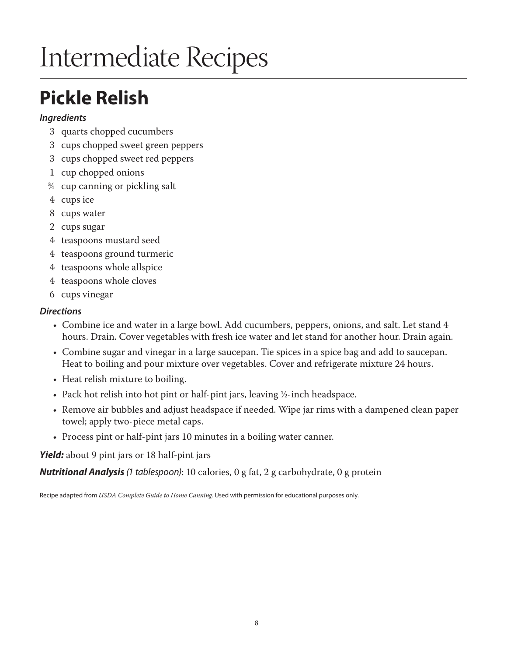## **Pickle Relish**

#### *Ingredients*

- 3 quarts chopped cucumbers
- 3 cups chopped sweet green peppers
- 3 cups chopped sweet red peppers
- 1 cup chopped onions
- 3/4 cup canning or pickling salt
- 4 cups ice
- 8 cups water
- 2 cups sugar
- 4 teaspoons mustard seed
- 4 teaspoons ground turmeric
- 4 teaspoons whole allspice
- 4 teaspoons whole cloves
- 6 cups vinegar

#### *Directions*

- Combine ice and water in a large bowl. Add cucumbers, peppers, onions, and salt. Let stand 4 hours. Drain. Cover vegetables with fresh ice water and let stand for another hour. Drain again.
- Combine sugar and vinegar in a large saucepan. Tie spices in a spice bag and add to saucepan. Heat to boiling and pour mixture over vegetables. Cover and refrigerate mixture 24 hours.
- Heat relish mixture to boiling.
- Pack hot relish into hot pint or half-pint jars, leaving ½-inch headspace.
- Remove air bubbles and adjust headspace if needed. Wipe jar rims with a dampened clean paper towel; apply two-piece metal caps.
- Process pint or half-pint jars 10 minutes in a boiling water canner.

*Yield:* about 9 pint jars or 18 half-pint jars

*Nutritional Analysis (1 tablespoon)*: 10 calories, 0 g fat, 2 g carbohydrate, 0 g protein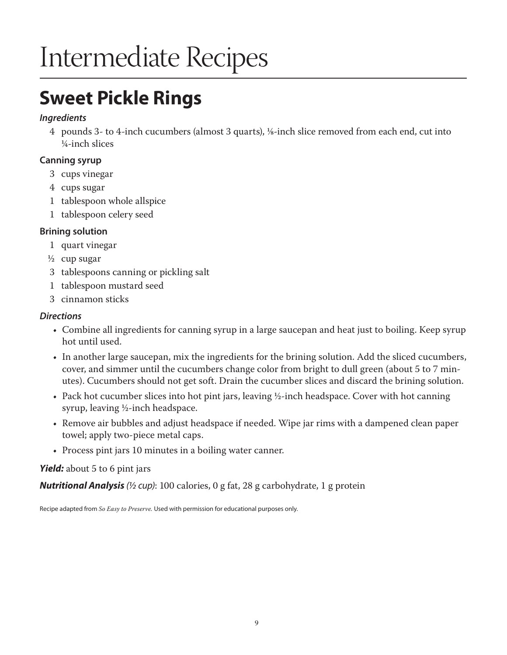### **Sweet Pickle Rings**

#### *Ingredients*

4 pounds 3- to 4-inch cucumbers (almost 3 quarts), 1/8-inch slice removed from each end, cut into ¼-inch slices

#### **Canning syrup**

- 3 cups vinegar
- 4 cups sugar
- 1 tablespoon whole allspice
- 1 tablespoon celery seed

#### **Brining solution**

- 1 quart vinegar
- ½ cup sugar
- 3 tablespoons canning or pickling salt
- 1 tablespoon mustard seed
- 3 cinnamon sticks

#### *Directions*

- Combine all ingredients for canning syrup in a large saucepan and heat just to boiling. Keep syrup hot until used.
- In another large saucepan, mix the ingredients for the brining solution. Add the sliced cucumbers, cover, and simmer until the cucumbers change color from bright to dull green (about 5 to 7 minutes). Cucumbers should not get soft. Drain the cucumber slices and discard the brining solution.
- Pack hot cucumber slices into hot pint jars, leaving ½-inch headspace. Cover with hot canning syrup, leaving ½-inch headspace.
- Remove air bubbles and adjust headspace if needed. Wipe jar rims with a dampened clean paper towel; apply two-piece metal caps.
- Process pint jars 10 minutes in a boiling water canner.

#### *Yield:* about 5 to 6 pint jars

*Nutritional Analysis (½ cup)*: 100 calories, 0 g fat, 28 g carbohydrate, 1 g protein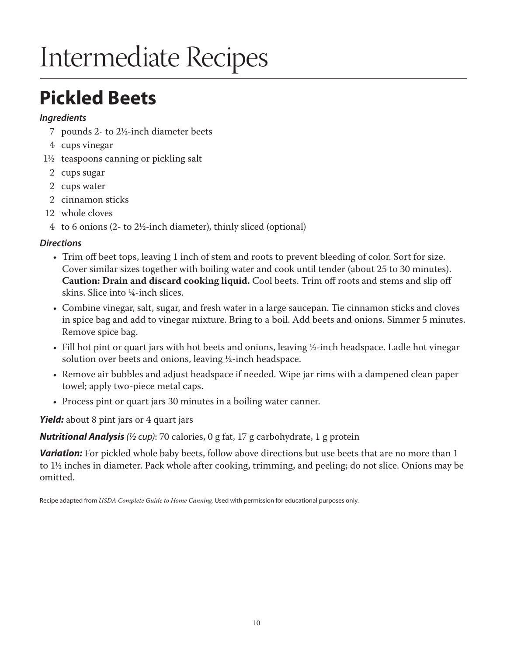### **Pickled Beets**

#### *Ingredients*

- 7 pounds 2- to 2½-inch diameter beets
- 4 cups vinegar
- 1½ teaspoons canning or pickling salt
	- 2 cups sugar
	- 2 cups water
	- 2 cinnamon sticks
- 12 whole cloves
- 4 to 6 onions (2- to 2½-inch diameter), thinly sliced (optional)

#### *Directions*

- Trim off beet tops, leaving 1 inch of stem and roots to prevent bleeding of color. Sort for size. Cover similar sizes together with boiling water and cook until tender (about 25 to 30 minutes). **Caution: Drain and discard cooking liquid.** Cool beets. Trim off roots and stems and slip off skins. Slice into ¼-inch slices.
- Combine vinegar, salt, sugar, and fresh water in a large saucepan. Tie cinnamon sticks and cloves in spice bag and add to vinegar mixture. Bring to a boil. Add beets and onions. Simmer 5 minutes. Remove spice bag.
- Fill hot pint or quart jars with hot beets and onions, leaving ½-inch headspace. Ladle hot vinegar solution over beets and onions, leaving ½-inch headspace.
- Remove air bubbles and adjust headspace if needed. Wipe jar rims with a dampened clean paper towel; apply two-piece metal caps.
- Process pint or quart jars 30 minutes in a boiling water canner.

*Yield:* about 8 pint jars or 4 quart jars

*Nutritional Analysis (½ cup)*: 70 calories, 0 g fat, 17 g carbohydrate, 1 g protein

**Variation:** For pickled whole baby beets, follow above directions but use beets that are no more than 1 to 1½ inches in diameter. Pack whole after cooking, trimming, and peeling; do not slice. Onions may be omitted.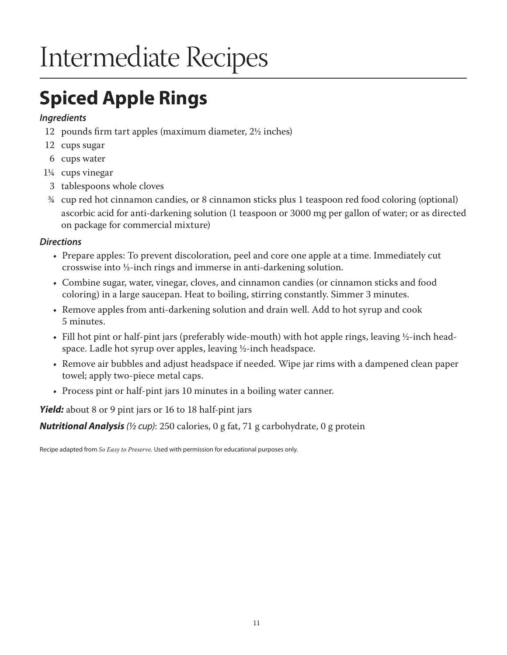## **Spiced Apple Rings**

#### *Ingredients*

- 12 pounds firm tart apples (maximum diameter, 2½ inches)
- 12 cups sugar
- 6 cups water
- 1¼ cups vinegar
- 3 tablespoons whole cloves
- ¾ cup red hot cinnamon candies, or 8 cinnamon sticks plus 1 teaspoon red food coloring (optional) ascorbic acid for anti-darkening solution (1 teaspoon or 3000 mg per gallon of water; or as directed on package for commercial mixture)

#### *Directions*

- Prepare apples: To prevent discoloration, peel and core one apple at a time. Immediately cut crosswise into ½-inch rings and immerse in anti-darkening solution.
- Combine sugar, water, vinegar, cloves, and cinnamon candies (or cinnamon sticks and food coloring) in a large saucepan. Heat to boiling, stirring constantly. Simmer 3 minutes.
- Remove apples from anti-darkening solution and drain well. Add to hot syrup and cook 5 minutes.
- Fill hot pint or half-pint jars (preferably wide-mouth) with hot apple rings, leaving ½-inch headspace. Ladle hot syrup over apples, leaving ½-inch headspace.
- Remove air bubbles and adjust headspace if needed. Wipe jar rims with a dampened clean paper towel; apply two-piece metal caps.
- Process pint or half-pint jars 10 minutes in a boiling water canner.

*Yield:* about 8 or 9 pint jars or 16 to 18 half-pint jars

*Nutritional Analysis (½ cup)*: 250 calories, 0 g fat, 71 g carbohydrate, 0 g protein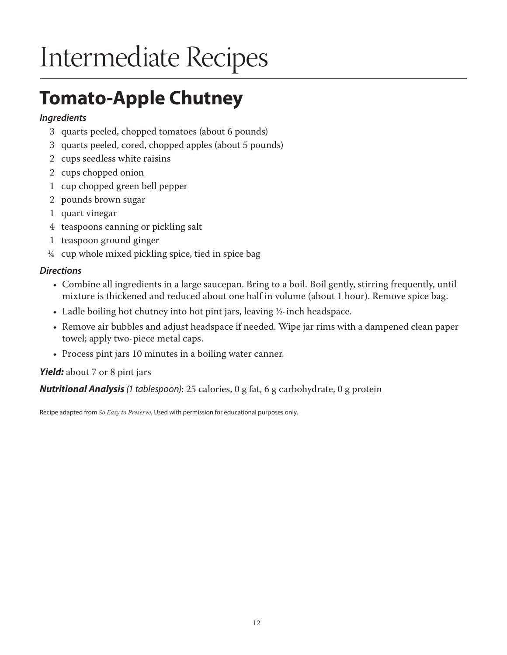## **Tomato-Apple Chutney**

#### *Ingredients*

- 3 quarts peeled, chopped tomatoes (about 6 pounds)
- 3 quarts peeled, cored, chopped apples (about 5 pounds)
- 2 cups seedless white raisins
- 2 cups chopped onion
- 1 cup chopped green bell pepper
- 2 pounds brown sugar
- 1 quart vinegar
- 4 teaspoons canning or pickling salt
- 1 teaspoon ground ginger
- ¼ cup whole mixed pickling spice, tied in spice bag

#### *Directions*

- Combine all ingredients in a large saucepan. Bring to a boil. Boil gently, stirring frequently, until mixture is thickened and reduced about one half in volume (about 1 hour). Remove spice bag.
- Ladle boiling hot chutney into hot pint jars, leaving ½-inch headspace.
- Remove air bubbles and adjust headspace if needed. Wipe jar rims with a dampened clean paper towel; apply two-piece metal caps.
- Process pint jars 10 minutes in a boiling water canner.

#### *Yield:* about 7 or 8 pint jars

*Nutritional Analysis (1 tablespoon)*: 25 calories, 0 g fat, 6 g carbohydrate, 0 g protein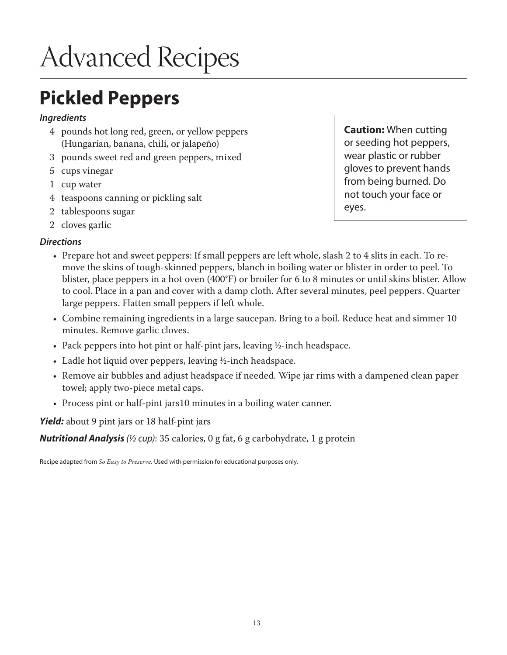### **Pickled Peppers**

#### *Ingredients*

- 4 pounds hot long red, green, or yellow peppers (Hungarian, banana, chili, or jalapeño)
- 3 pounds sweet red and green peppers, mixed
- 5 cups vinegar
- 1 cup water
- 4 teaspoons canning or pickling salt
- 2 tablespoons sugar
- 2 cloves garlic

#### *Directions*

- Prepare hot and sweet peppers: If small peppers are left whole, slash 2 to 4 slits in each. To remove the skins of tough-skinned peppers, blanch in boiling water or blister in order to peel. To blister, place peppers in a hot oven (400°F) or broiler for 6 to 8 minutes or until skins blister. Allow to cool. Place in a pan and cover with a damp cloth. After several minutes, peel peppers. Quarter large peppers. Flatten small peppers if left whole.
- Combine remaining ingredients in a large saucepan. Bring to a boil. Reduce heat and simmer 10 minutes. Remove garlic cloves.
- Pack peppers into hot pint or half-pint jars, leaving ½-inch headspace.
- Ladle hot liquid over peppers, leaving ½-inch headspace.
- Remove air bubbles and adjust headspace if needed. Wipe jar rims with a dampened clean paper towel; apply two-piece metal caps.
- Process pint or half-pint jars10 minutes in a boiling water canner.

*Yield:* about 9 pint jars or 18 half-pint jars

*Nutritional Analysis (½ cup)*: 35 calories, 0 g fat, 6 g carbohydrate, 1 g protein

Recipe adapted from *So Easy to Preserve.* Used with permission for educational purposes only.

**Caution:** When cutting or seeding hot peppers, wear plastic or rubber gloves to prevent hands from being burned. Do not touch your face or eyes.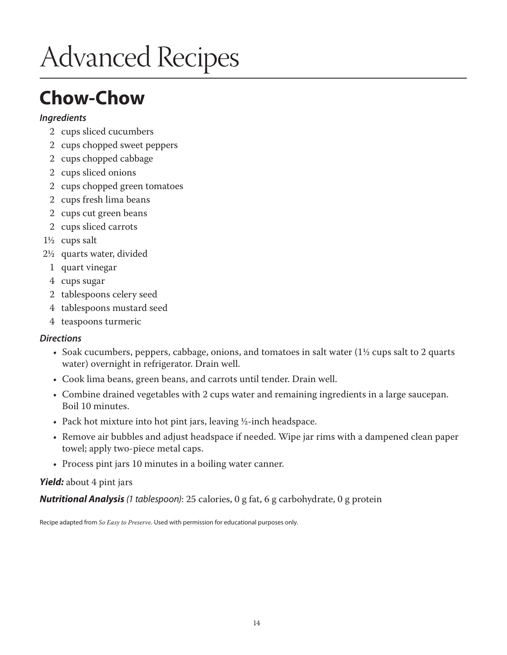### **Chow-Chow**

#### *Ingredients*

- 2 cups sliced cucumbers
- 2 cups chopped sweet peppers
- 2 cups chopped cabbage
- 2 cups sliced onions
- 2 cups chopped green tomatoes
- 2 cups fresh lima beans
- 2 cups cut green beans
- 2 cups sliced carrots
- 1½ cups salt
- 2½ quarts water, divided
	- 1 quart vinegar
	- 4 cups sugar
	- 2 tablespoons celery seed
	- 4 tablespoons mustard seed
	- 4 teaspoons turmeric

#### *Directions*

- Soak cucumbers, peppers, cabbage, onions, and tomatoes in salt water  $(1\frac{1}{2})$  cups salt to 2 quarts water) overnight in refrigerator. Drain well.
- Cook lima beans, green beans, and carrots until tender. Drain well.
- Combine drained vegetables with 2 cups water and remaining ingredients in a large saucepan. Boil 10 minutes.
- Pack hot mixture into hot pint jars, leaving ½-inch headspace.
- Remove air bubbles and adjust headspace if needed. Wipe jar rims with a dampened clean paper towel; apply two-piece metal caps.
- Process pint jars 10 minutes in a boiling water canner.

#### *Yield:* about 4 pint jars

*Nutritional Analysis (1 tablespoon)*: 25 calories, 0 g fat, 6 g carbohydrate, 0 g protein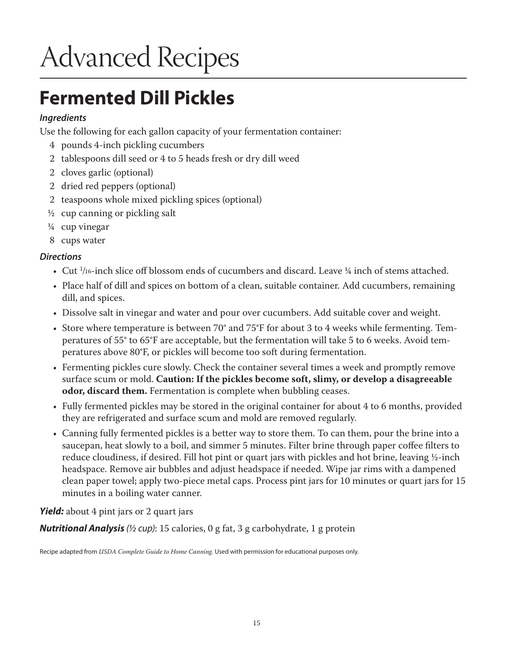### **Fermented Dill Pickles**

#### *Ingredients*

Use the following for each gallon capacity of your fermentation container:

- 4 pounds 4-inch pickling cucumbers
- 2 tablespoons dill seed or 4 to 5 heads fresh or dry dill weed
- 2 cloves garlic (optional)
- 2 dried red peppers (optional)
- 2 teaspoons whole mixed pickling spices (optional)
- $\frac{1}{2}$  cup canning or pickling salt
- ¼ cup vinegar
- 8 cups water

#### *Directions*

- Cut  $\frac{1}{16}$ -inch slice off blossom ends of cucumbers and discard. Leave  $\frac{1}{4}$  inch of stems attached.
- Place half of dill and spices on bottom of a clean, suitable container. Add cucumbers, remaining dill, and spices.
- Dissolve salt in vinegar and water and pour over cucumbers. Add suitable cover and weight.
- Store where temperature is between 70° and 75°F for about 3 to 4 weeks while fermenting. Temperatures of 55° to 65°F are acceptable, but the fermentation will take 5 to 6 weeks. Avoid temperatures above 80°F, or pickles will become too soft during fermentation.
- Fermenting pickles cure slowly. Check the container several times a week and promptly remove surface scum or mold. **Caution: If the pickles become soft, slimy, or develop a disagreeable odor, discard them.** Fermentation is complete when bubbling ceases.
- Fully fermented pickles may be stored in the original container for about 4 to 6 months, provided they are refrigerated and surface scum and mold are removed regularly.
- Canning fully fermented pickles is a better way to store them. To can them, pour the brine into a saucepan, heat slowly to a boil, and simmer 5 minutes. Filter brine through paper coffee filters to reduce cloudiness, if desired. Fill hot pint or quart jars with pickles and hot brine, leaving ½-inch headspace. Remove air bubbles and adjust headspace if needed. Wipe jar rims with a dampened clean paper towel; apply two-piece metal caps. Process pint jars for 10 minutes or quart jars for 15 minutes in a boiling water canner.

#### *Yield:* about 4 pint jars or 2 quart jars

*Nutritional Analysis (½ cup)*: 15 calories, 0 g fat, 3 g carbohydrate, 1 g protein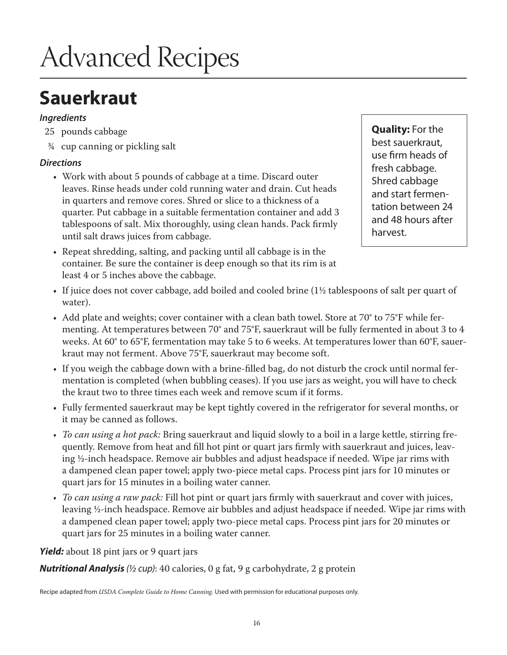### **Sauerkraut**

#### *Ingredients*

- 25 pounds cabbage
- ¾ cup canning or pickling salt

#### *Directions*

- Work with about 5 pounds of cabbage at a time. Discard outer leaves. Rinse heads under cold running water and drain. Cut heads in quarters and remove cores. Shred or slice to a thickness of a quarter. Put cabbage in a suitable fermentation container and add 3 tablespoons of salt. Mix thoroughly, using clean hands. Pack firmly until salt draws juices from cabbage.
- Repeat shredding, salting, and packing until all cabbage is in the container. Be sure the container is deep enough so that its rim is at least 4 or 5 inches above the cabbage.

**Quality:** For the best sauerkraut, use firm heads of fresh cabbage. Shred cabbage and start fermentation between 24 and 48 hours after harvest.

- If juice does not cover cabbage, add boiled and cooled brine (1½ tablespoons of salt per quart of water).
- Add plate and weights; cover container with a clean bath towel. Store at 70° to 75°F while fermenting. At temperatures between 70° and 75°F, sauerkraut will be fully fermented in about 3 to 4 weeks. At 60° to 65°F, fermentation may take 5 to 6 weeks. At temperatures lower than 60°F, sauerkraut may not ferment. Above 75°F, sauerkraut may become soft.
- If you weigh the cabbage down with a brine-filled bag, do not disturb the crock until normal fermentation is completed (when bubbling ceases). If you use jars as weight, you will have to check the kraut two to three times each week and remove scum if it forms.
- Fully fermented sauerkraut may be kept tightly covered in the refrigerator for several months, or it may be canned as follows.
- *• To can using a hot pack:* Bring sauerkraut and liquid slowly to a boil in a large kettle, stirring frequently. Remove from heat and fill hot pint or quart jars firmly with sauerkraut and juices, leaving ½-inch headspace. Remove air bubbles and adjust headspace if needed. Wipe jar rims with a dampened clean paper towel; apply two-piece metal caps. Process pint jars for 10 minutes or quart jars for 15 minutes in a boiling water canner.
- *• To can using a raw pack:* Fill hot pint or quart jars firmly with sauerkraut and cover with juices, leaving ½-inch headspace. Remove air bubbles and adjust headspace if needed. Wipe jar rims with a dampened clean paper towel; apply two-piece metal caps. Process pint jars for 20 minutes or quart jars for 25 minutes in a boiling water canner.

*Yield:* about 18 pint jars or 9 quart jars

*Nutritional Analysis (½ cup)*: 40 calories, 0 g fat, 9 g carbohydrate, 2 g protein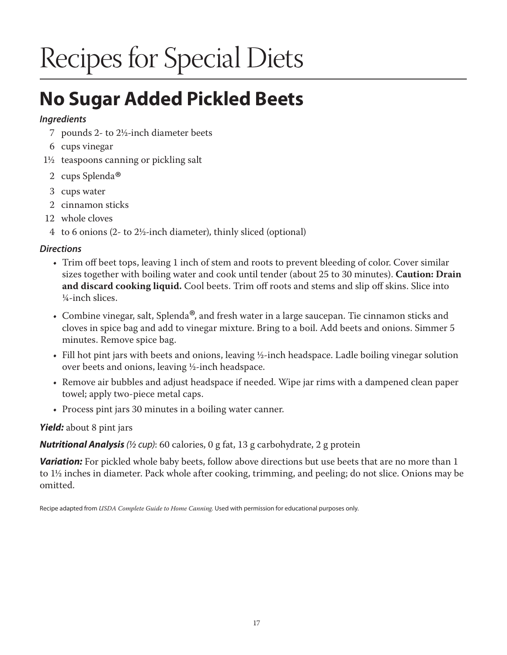## **No Sugar Added Pickled Beets**

#### *Ingredients*

- 7 pounds 2- to 2½-inch diameter beets
- 6 cups vinegar
- 1½ teaspoons canning or pickling salt
- 2 cups Splenda<sup>®</sup>
- 3 cups water
- 2 cinnamon sticks
- 12 whole cloves
- 4 to 6 onions (2- to 2½-inch diameter), thinly sliced (optional)

#### *Directions*

- Trim off beet tops, leaving 1 inch of stem and roots to prevent bleeding of color. Cover similar sizes together with boiling water and cook until tender (about 25 to 30 minutes). **Caution: Drain and discard cooking liquid.** Cool beets. Trim off roots and stems and slip off skins. Slice into ¼-inch slices.
- Combine vinegar, salt, Splenda<sup>®</sup>, and fresh water in a large saucepan. Tie cinnamon sticks and cloves in spice bag and add to vinegar mixture. Bring to a boil. Add beets and onions. Simmer 5 minutes. Remove spice bag.
- Fill hot pint jars with beets and onions, leaving ½-inch headspace. Ladle boiling vinegar solution over beets and onions, leaving ½-inch headspace.
- Remove air bubbles and adjust headspace if needed. Wipe jar rims with a dampened clean paper towel; apply two-piece metal caps.
- Process pint jars 30 minutes in a boiling water canner.

#### *Yield:* about 8 pint jars

*Nutritional Analysis (½ cup)*: 60 calories, 0 g fat, 13 g carbohydrate, 2 g protein

**Variation:** For pickled whole baby beets, follow above directions but use beets that are no more than 1 to 1½ inches in diameter. Pack whole after cooking, trimming, and peeling; do not slice. Onions may be omitted.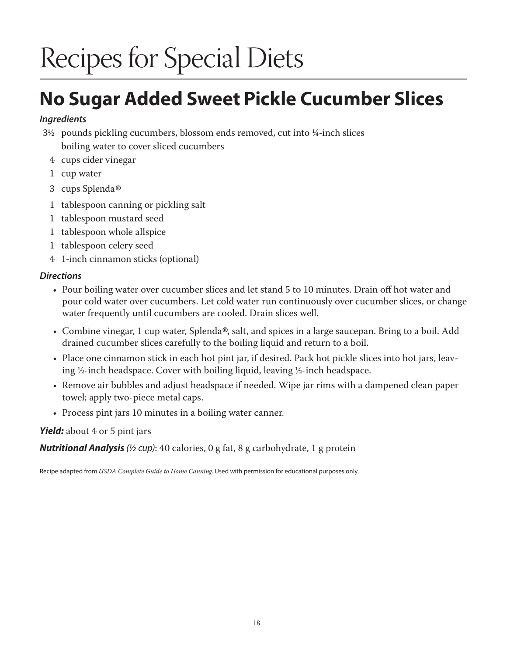## **No Sugar Added Sweet Pickle Cucumber Slices**

#### *Ingredients*

- 3½ pounds pickling cucumbers, blossom ends removed, cut into ¼-inch slices boiling water to cover sliced cucumbers
	- 4 cups cider vinegar
	- 1 cup water
	- <sup>3</sup> cups Splenda®
	- 1 tablespoon canning or pickling salt
	- 1 tablespoon mustard seed
	- 1 tablespoon whole allspice
	- 1 tablespoon celery seed
	- 4 1-inch cinnamon sticks (optional)

#### *Directions*

- Pour boiling water over cucumber slices and let stand 5 to 10 minutes. Drain off hot water and pour cold water over cucumbers. Let cold water run continuously over cucumber slices, or change water frequently until cucumbers are cooled. Drain slices well.
- Combine vinegar, 1 cup water, Splenda<sup>®</sup>, salt, and spices in a large saucepan. Bring to a boil. Add drained cucumber slices carefully to the boiling liquid and return to a boil.
- Place one cinnamon stick in each hot pint jar, if desired. Pack hot pickle slices into hot jars, leaving ½-inch headspace. Cover with boiling liquid, leaving ½-inch headspace.
- Remove air bubbles and adjust headspace if needed. Wipe jar rims with a dampened clean paper towel; apply two-piece metal caps.
- Process pint jars 10 minutes in a boiling water canner.

#### *Yield:* about 4 or 5 pint jars

*Nutritional Analysis (½ cup)*: 40 calories, 0 g fat, 8 g carbohydrate, 1 g protein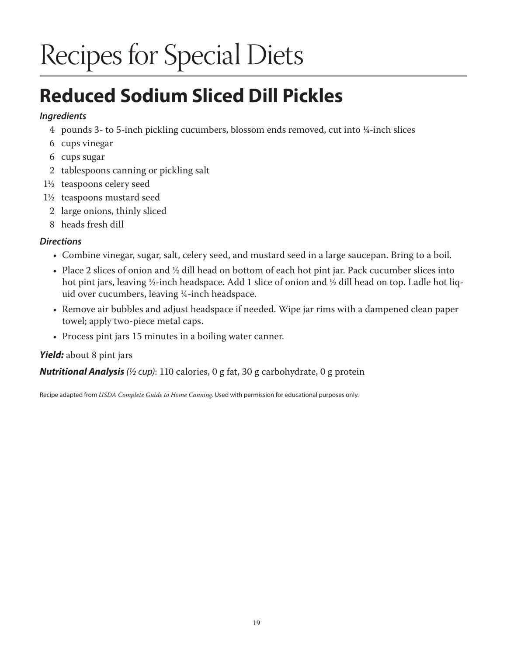## **Reduced Sodium Sliced Dill Pickles**

#### *Ingredients*

- 4 pounds 3- to 5-inch pickling cucumbers, blossom ends removed, cut into ¼-inch slices
- 6 cups vinegar
- 6 cups sugar
- 2 tablespoons canning or pickling salt
- 1½ teaspoons celery seed
- 1½ teaspoons mustard seed
	- 2 large onions, thinly sliced
	- 8 heads fresh dill

#### *Directions*

- Combine vinegar, sugar, salt, celery seed, and mustard seed in a large saucepan. Bring to a boil.
- Place 2 slices of onion and ½ dill head on bottom of each hot pint jar. Pack cucumber slices into hot pint jars, leaving ½-inch headspace. Add 1 slice of onion and ½ dill head on top. Ladle hot liquid over cucumbers, leaving ¼-inch headspace.
- Remove air bubbles and adjust headspace if needed. Wipe jar rims with a dampened clean paper towel; apply two-piece metal caps.
- Process pint jars 15 minutes in a boiling water canner.

#### *Yield:* about 8 pint jars

*Nutritional Analysis (½ cup)*: 110 calories, 0 g fat, 30 g carbohydrate, 0 g protein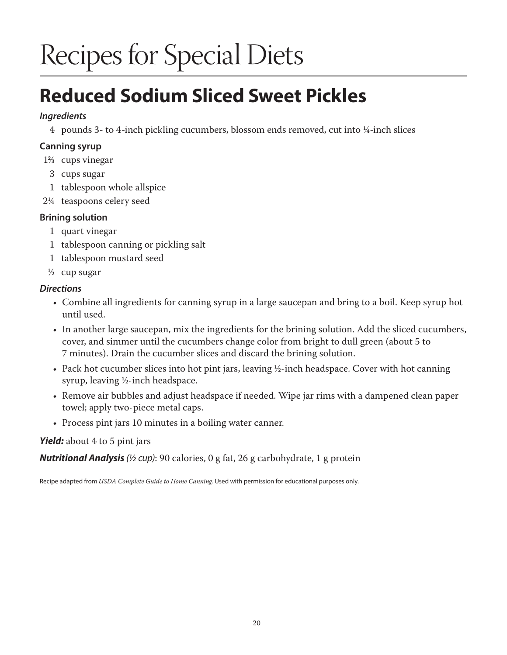### **Reduced Sodium Sliced Sweet Pickles**

#### *Ingredients*

4 pounds 3- to 4-inch pickling cucumbers, blossom ends removed, cut into ¼-inch slices

#### **Canning syrup**

- 1<sup>2</sup>/<sub>3</sub> cups vinegar
	- 3 cups sugar
- 1 tablespoon whole allspice
- 2¼ teaspoons celery seed

#### **Brining solution**

- 1 quart vinegar
- 1 tablespoon canning or pickling salt
- 1 tablespoon mustard seed
- $\frac{1}{2}$  cup sugar

#### *Directions*

- Combine all ingredients for canning syrup in a large saucepan and bring to a boil. Keep syrup hot until used.
- In another large saucepan, mix the ingredients for the brining solution. Add the sliced cucumbers, cover, and simmer until the cucumbers change color from bright to dull green (about 5 to 7 minutes). Drain the cucumber slices and discard the brining solution.
- Pack hot cucumber slices into hot pint jars, leaving ½-inch headspace. Cover with hot canning syrup, leaving ½-inch headspace.
- Remove air bubbles and adjust headspace if needed. Wipe jar rims with a dampened clean paper towel; apply two-piece metal caps.
- Process pint jars 10 minutes in a boiling water canner.

#### *Yield:* about 4 to 5 pint jars

*Nutritional Analysis (½ cup)*: 90 calories, 0 g fat, 26 g carbohydrate, 1 g protein